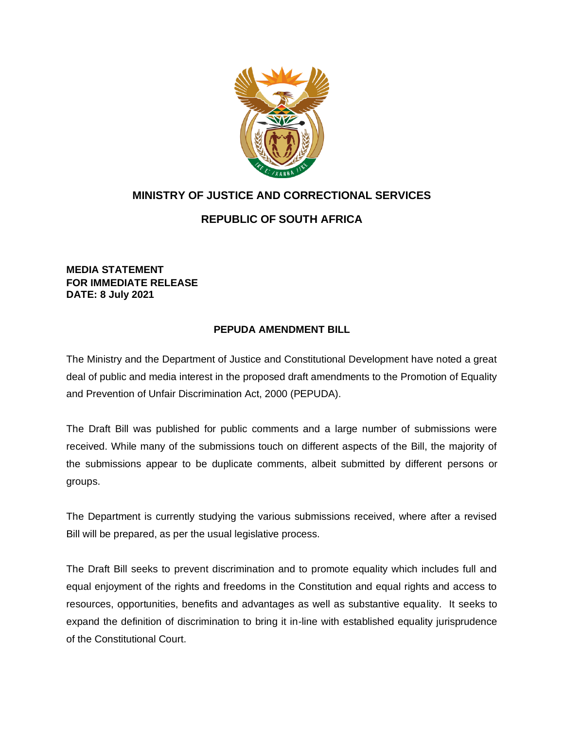

## **MINISTRY OF JUSTICE AND CORRECTIONAL SERVICES**

## **REPUBLIC OF SOUTH AFRICA**

**MEDIA STATEMENT FOR IMMEDIATE RELEASE DATE: 8 July 2021**

## **PEPUDA AMENDMENT BILL**

The Ministry and the Department of Justice and Constitutional Development have noted a great deal of public and media interest in the proposed draft amendments to the Promotion of Equality and Prevention of Unfair Discrimination Act, 2000 (PEPUDA).

The Draft Bill was published for public comments and a large number of submissions were received. While many of the submissions touch on different aspects of the Bill, the majority of the submissions appear to be duplicate comments, albeit submitted by different persons or groups.

The Department is currently studying the various submissions received, where after a revised Bill will be prepared, as per the usual legislative process.

The Draft Bill seeks to prevent discrimination and to promote equality which includes full and equal enjoyment of the rights and freedoms in the Constitution and equal rights and access to resources, opportunities, benefits and advantages as well as substantive equality. It seeks to expand the definition of discrimination to bring it in-line with established equality jurisprudence of the Constitutional Court.